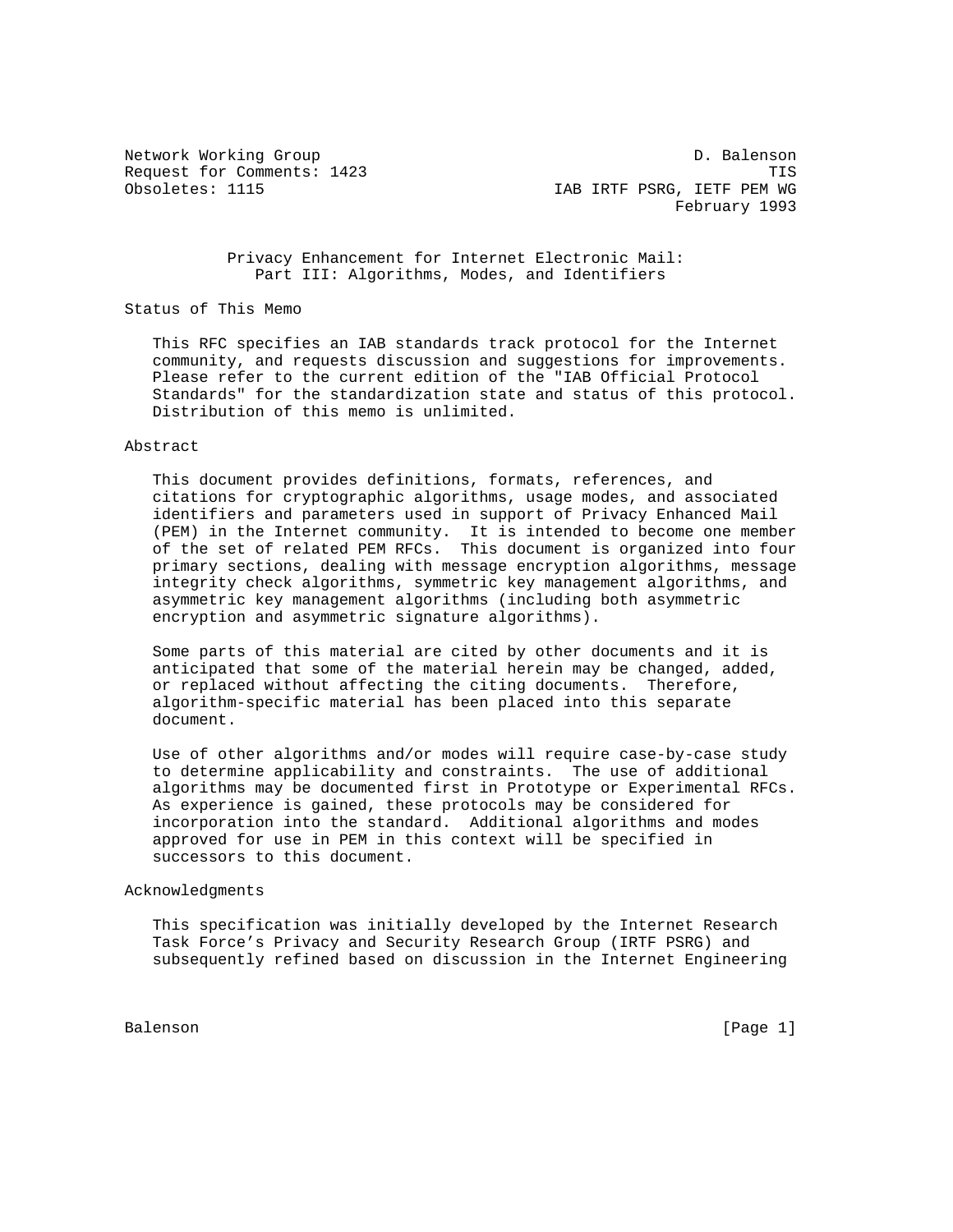Network Working Group D. Balenson Request for Comments: 1423 TIS Obsoletes: 1115 IAB IRTF PSRG, IETF PEM WG February 1993

> Privacy Enhancement for Internet Electronic Mail: Part III: Algorithms, Modes, and Identifiers

Status of This Memo

 This RFC specifies an IAB standards track protocol for the Internet community, and requests discussion and suggestions for improvements. Please refer to the current edition of the "IAB Official Protocol Standards" for the standardization state and status of this protocol. Distribution of this memo is unlimited.

#### Abstract

 This document provides definitions, formats, references, and citations for cryptographic algorithms, usage modes, and associated identifiers and parameters used in support of Privacy Enhanced Mail (PEM) in the Internet community. It is intended to become one member of the set of related PEM RFCs. This document is organized into four primary sections, dealing with message encryption algorithms, message integrity check algorithms, symmetric key management algorithms, and asymmetric key management algorithms (including both asymmetric encryption and asymmetric signature algorithms).

 Some parts of this material are cited by other documents and it is anticipated that some of the material herein may be changed, added, or replaced without affecting the citing documents. Therefore, algorithm-specific material has been placed into this separate document.

 Use of other algorithms and/or modes will require case-by-case study to determine applicability and constraints. The use of additional algorithms may be documented first in Prototype or Experimental RFCs. As experience is gained, these protocols may be considered for incorporation into the standard. Additional algorithms and modes approved for use in PEM in this context will be specified in successors to this document.

### Acknowledgments

 This specification was initially developed by the Internet Research Task Force's Privacy and Security Research Group (IRTF PSRG) and subsequently refined based on discussion in the Internet Engineering

Balenson [Page 1]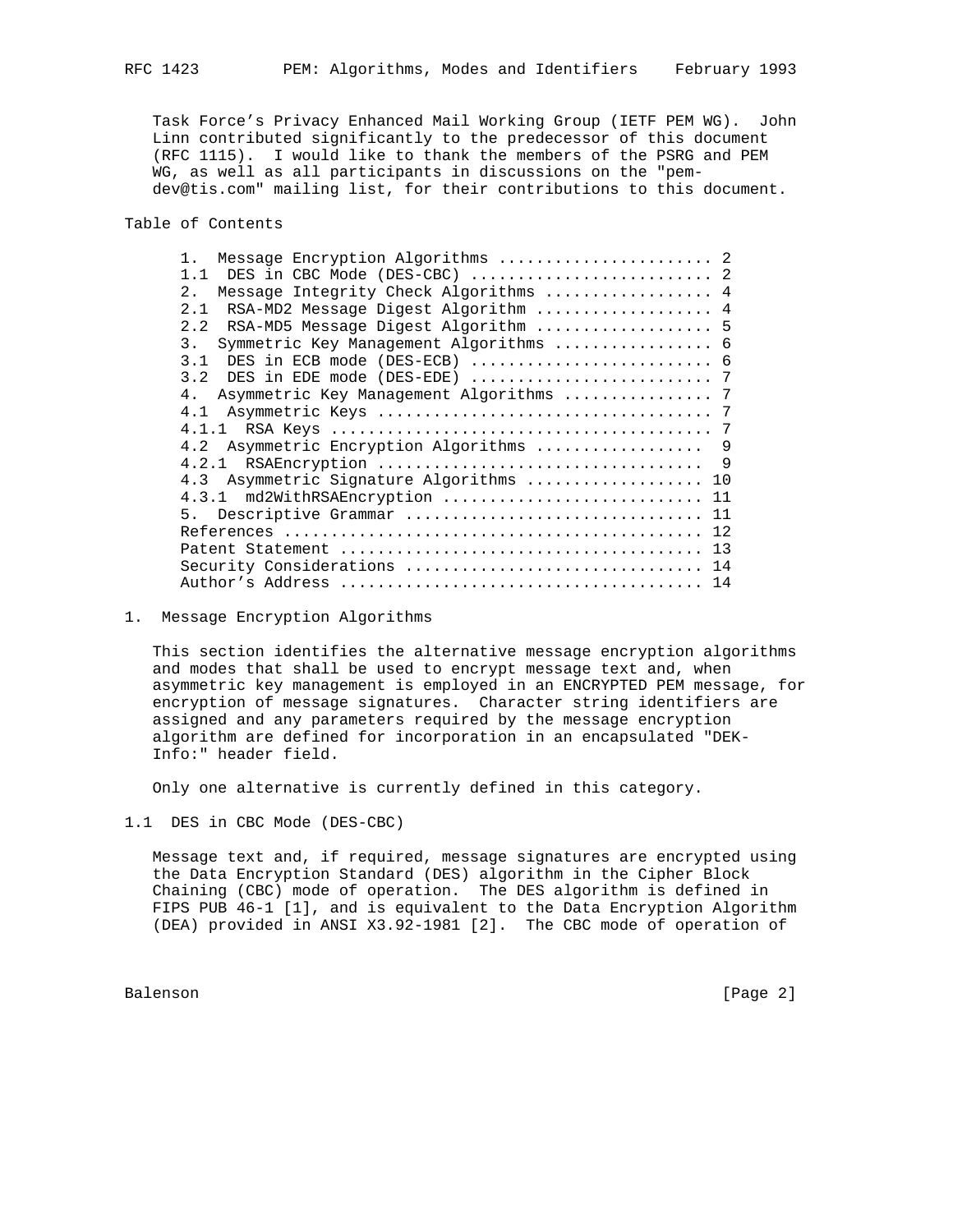Task Force's Privacy Enhanced Mail Working Group (IETF PEM WG). John Linn contributed significantly to the predecessor of this document (RFC 1115). I would like to thank the members of the PSRG and PEM WG, as well as all participants in discussions on the "pem dev@tis.com" mailing list, for their contributions to this document.

# Table of Contents

| Message Encryption Algorithms  2             |    |  |
|----------------------------------------------|----|--|
|                                              |    |  |
| Message Integrity Check Algorithms  4<br>2.  |    |  |
| RSA-MD2 Message Digest Algorithm  4<br>2.1   |    |  |
| 2.2 RSA-MD5 Message Digest Algorithm  5      |    |  |
| Symmetric Key Management Algorithms  6<br>3. |    |  |
| 3.1                                          |    |  |
|                                              |    |  |
| 4.                                           |    |  |
| 4.1                                          |    |  |
|                                              |    |  |
| 4.2 Asymmetric Encryption Algorithms  9      |    |  |
|                                              |    |  |
| 4.3 Asymmetric Signature Algorithms  10      |    |  |
| 4.3.1 md2WithRSAEncryption  11               |    |  |
|                                              | 11 |  |
|                                              | 12 |  |
|                                              | 13 |  |
| Security Considerations  14                  |    |  |
|                                              | 14 |  |

1. Message Encryption Algorithms

 This section identifies the alternative message encryption algorithms and modes that shall be used to encrypt message text and, when asymmetric key management is employed in an ENCRYPTED PEM message, for encryption of message signatures. Character string identifiers are assigned and any parameters required by the message encryption algorithm are defined for incorporation in an encapsulated "DEK- Info:" header field.

Only one alternative is currently defined in this category.

1.1 DES in CBC Mode (DES-CBC)

 Message text and, if required, message signatures are encrypted using the Data Encryption Standard (DES) algorithm in the Cipher Block Chaining (CBC) mode of operation. The DES algorithm is defined in FIPS PUB 46-1 [1], and is equivalent to the Data Encryption Algorithm (DEA) provided in ANSI X3.92-1981 [2]. The CBC mode of operation of

Balenson [Page 2]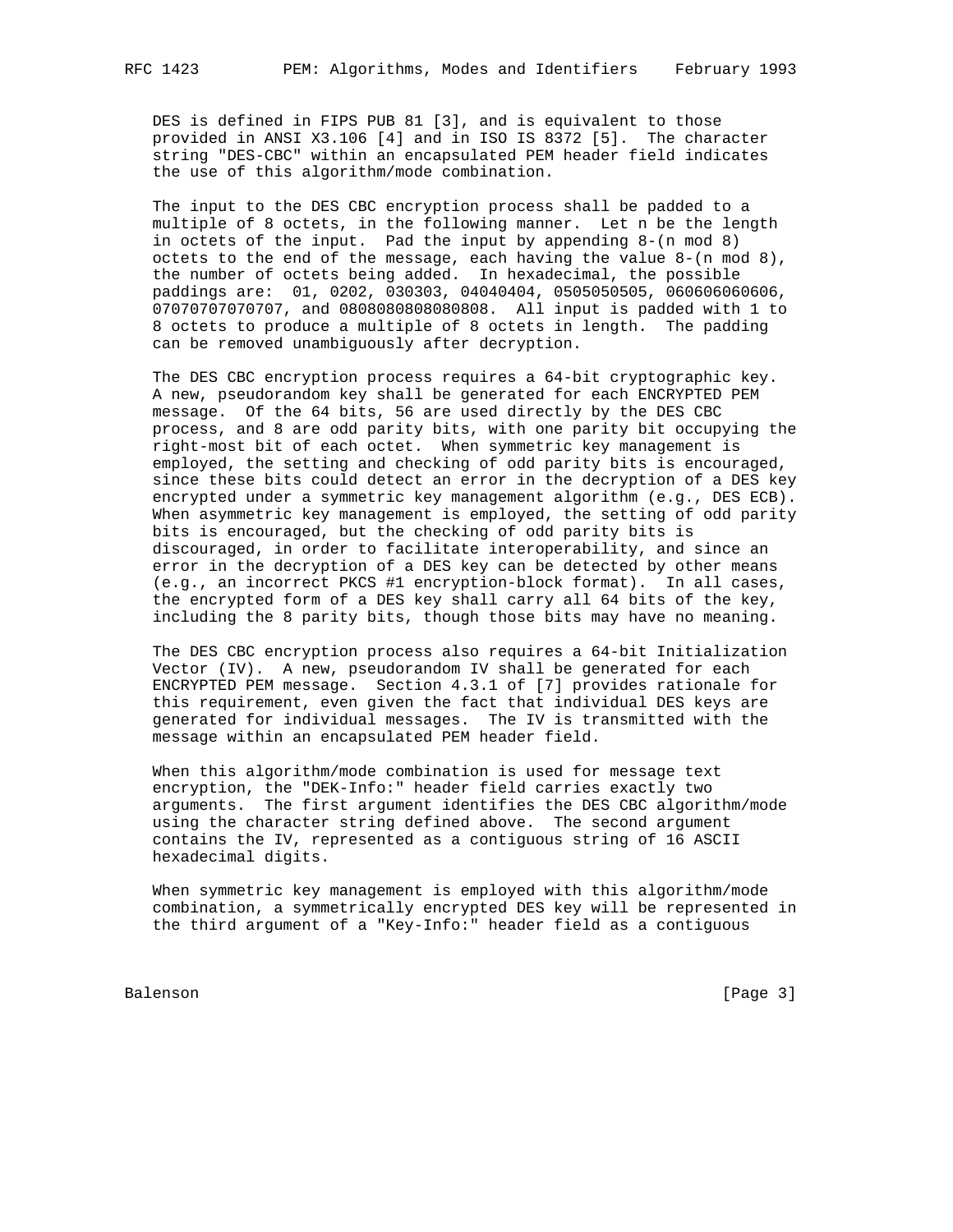DES is defined in FIPS PUB 81 [3], and is equivalent to those provided in ANSI X3.106 [4] and in ISO IS 8372 [5]. The character string "DES-CBC" within an encapsulated PEM header field indicates the use of this algorithm/mode combination.

 The input to the DES CBC encryption process shall be padded to a multiple of 8 octets, in the following manner. Let n be the length in octets of the input. Pad the input by appending  $8-(n \mod 8)$ octets to the end of the message, each having the value  $8-(n \mod 8)$ , the number of octets being added. In hexadecimal, the possible paddings are: 01, 0202, 030303, 04040404, 0505050505, 060606060606, 07070707070707, and 0808080808080808. All input is padded with 1 to 8 octets to produce a multiple of 8 octets in length. The padding can be removed unambiguously after decryption.

 The DES CBC encryption process requires a 64-bit cryptographic key. A new, pseudorandom key shall be generated for each ENCRYPTED PEM message. Of the 64 bits, 56 are used directly by the DES CBC process, and 8 are odd parity bits, with one parity bit occupying the right-most bit of each octet. When symmetric key management is employed, the setting and checking of odd parity bits is encouraged, since these bits could detect an error in the decryption of a DES key encrypted under a symmetric key management algorithm (e.g., DES ECB). When asymmetric key management is employed, the setting of odd parity bits is encouraged, but the checking of odd parity bits is discouraged, in order to facilitate interoperability, and since an error in the decryption of a DES key can be detected by other means (e.g., an incorrect PKCS #1 encryption-block format). In all cases, the encrypted form of a DES key shall carry all 64 bits of the key, including the 8 parity bits, though those bits may have no meaning.

 The DES CBC encryption process also requires a 64-bit Initialization Vector (IV). A new, pseudorandom IV shall be generated for each ENCRYPTED PEM message. Section 4.3.1 of [7] provides rationale for this requirement, even given the fact that individual DES keys are generated for individual messages. The IV is transmitted with the message within an encapsulated PEM header field.

 When this algorithm/mode combination is used for message text encryption, the "DEK-Info:" header field carries exactly two arguments. The first argument identifies the DES CBC algorithm/mode using the character string defined above. The second argument contains the IV, represented as a contiguous string of 16 ASCII hexadecimal digits.

 When symmetric key management is employed with this algorithm/mode combination, a symmetrically encrypted DES key will be represented in the third argument of a "Key-Info:" header field as a contiguous

Balenson [Page 3]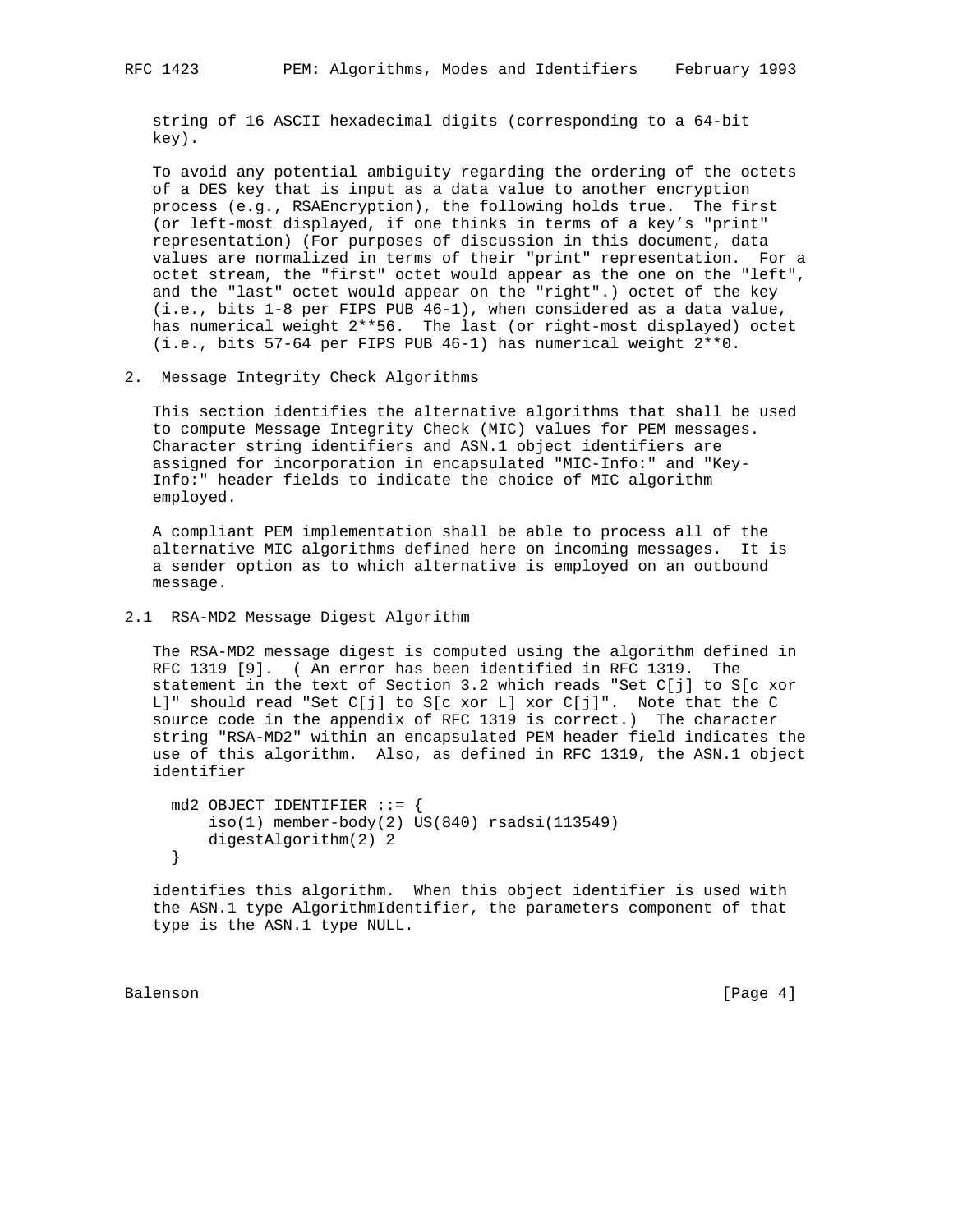string of 16 ASCII hexadecimal digits (corresponding to a 64-bit key).

 To avoid any potential ambiguity regarding the ordering of the octets of a DES key that is input as a data value to another encryption process (e.g., RSAEncryption), the following holds true. The first (or left-most displayed, if one thinks in terms of a key's "print" representation) (For purposes of discussion in this document, data values are normalized in terms of their "print" representation. For a octet stream, the "first" octet would appear as the one on the "left", and the "last" octet would appear on the "right".) octet of the key (i.e., bits 1-8 per FIPS PUB 46-1), when considered as a data value, has numerical weight 2\*\*56. The last (or right-most displayed) octet (i.e., bits 57-64 per FIPS PUB 46-1) has numerical weight 2\*\*0.

2. Message Integrity Check Algorithms

 This section identifies the alternative algorithms that shall be used to compute Message Integrity Check (MIC) values for PEM messages. Character string identifiers and ASN.1 object identifiers are assigned for incorporation in encapsulated "MIC-Info:" and "Key- Info:" header fields to indicate the choice of MIC algorithm employed.

 A compliant PEM implementation shall be able to process all of the alternative MIC algorithms defined here on incoming messages. It is a sender option as to which alternative is employed on an outbound message.

## 2.1 RSA-MD2 Message Digest Algorithm

 The RSA-MD2 message digest is computed using the algorithm defined in RFC 1319 [9]. ( An error has been identified in RFC 1319. The statement in the text of Section 3.2 which reads "Set C[j] to S[c xor L]" should read "Set C[j] to S[c xor L] xor C[j]". Note that the C source code in the appendix of RFC 1319 is correct.) The character string "RSA-MD2" within an encapsulated PEM header field indicates the use of this algorithm. Also, as defined in RFC 1319, the ASN.1 object identifier

```
 md2 OBJECT IDENTIFIER ::= {
    iso(1) member-body(2) US(840) rsadsi(113549) digestAlgorithm(2) 2
 }
```
 identifies this algorithm. When this object identifier is used with the ASN.1 type AlgorithmIdentifier, the parameters component of that type is the ASN.1 type NULL.

Balenson [Page 4]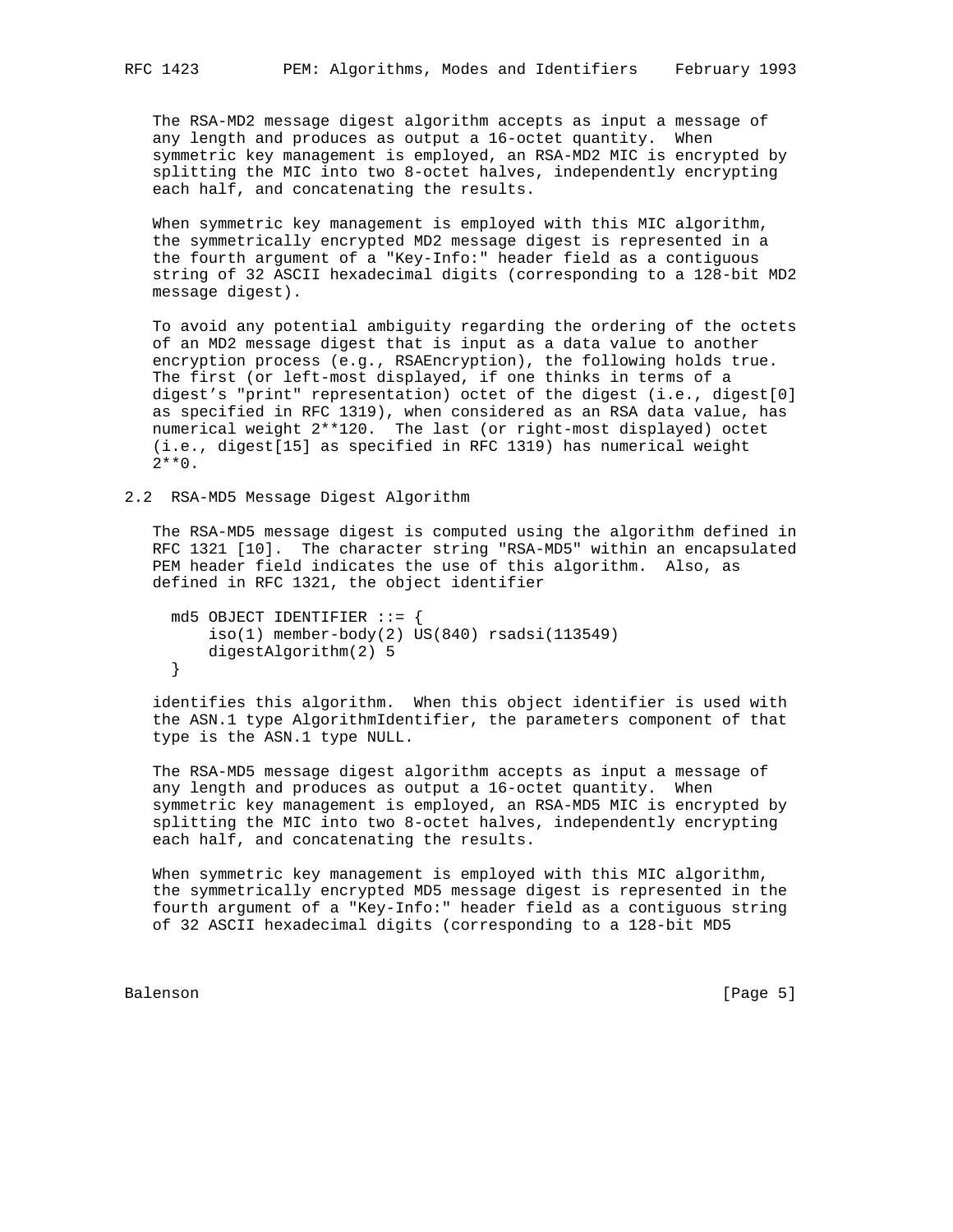The RSA-MD2 message digest algorithm accepts as input a message of any length and produces as output a 16-octet quantity. When symmetric key management is employed, an RSA-MD2 MIC is encrypted by splitting the MIC into two 8-octet halves, independently encrypting each half, and concatenating the results.

 When symmetric key management is employed with this MIC algorithm, the symmetrically encrypted MD2 message digest is represented in a the fourth argument of a "Key-Info:" header field as a contiguous string of 32 ASCII hexadecimal digits (corresponding to a 128-bit MD2 message digest).

 To avoid any potential ambiguity regarding the ordering of the octets of an MD2 message digest that is input as a data value to another encryption process (e.g., RSAEncryption), the following holds true. The first (or left-most displayed, if one thinks in terms of a digest's "print" representation) octet of the digest (i.e., digest[0] as specified in RFC 1319), when considered as an RSA data value, has numerical weight 2\*\*120. The last (or right-most displayed) octet (i.e., digest[15] as specified in RFC 1319) has numerical weight  $2**0$ .

2.2 RSA-MD5 Message Digest Algorithm

 The RSA-MD5 message digest is computed using the algorithm defined in RFC 1321 [10]. The character string "RSA-MD5" within an encapsulated PEM header field indicates the use of this algorithm. Also, as defined in RFC 1321, the object identifier

```
 md5 OBJECT IDENTIFIER ::= {
    iso(1) member-body(2) US(840) rsadsi(113549)
     digestAlgorithm(2) 5
 }
```
 identifies this algorithm. When this object identifier is used with the ASN.1 type AlgorithmIdentifier, the parameters component of that type is the ASN.1 type NULL.

 The RSA-MD5 message digest algorithm accepts as input a message of any length and produces as output a 16-octet quantity. When symmetric key management is employed, an RSA-MD5 MIC is encrypted by splitting the MIC into two 8-octet halves, independently encrypting each half, and concatenating the results.

 When symmetric key management is employed with this MIC algorithm, the symmetrically encrypted MD5 message digest is represented in the fourth argument of a "Key-Info:" header field as a contiguous string of 32 ASCII hexadecimal digits (corresponding to a 128-bit MD5

Balenson [Page 5]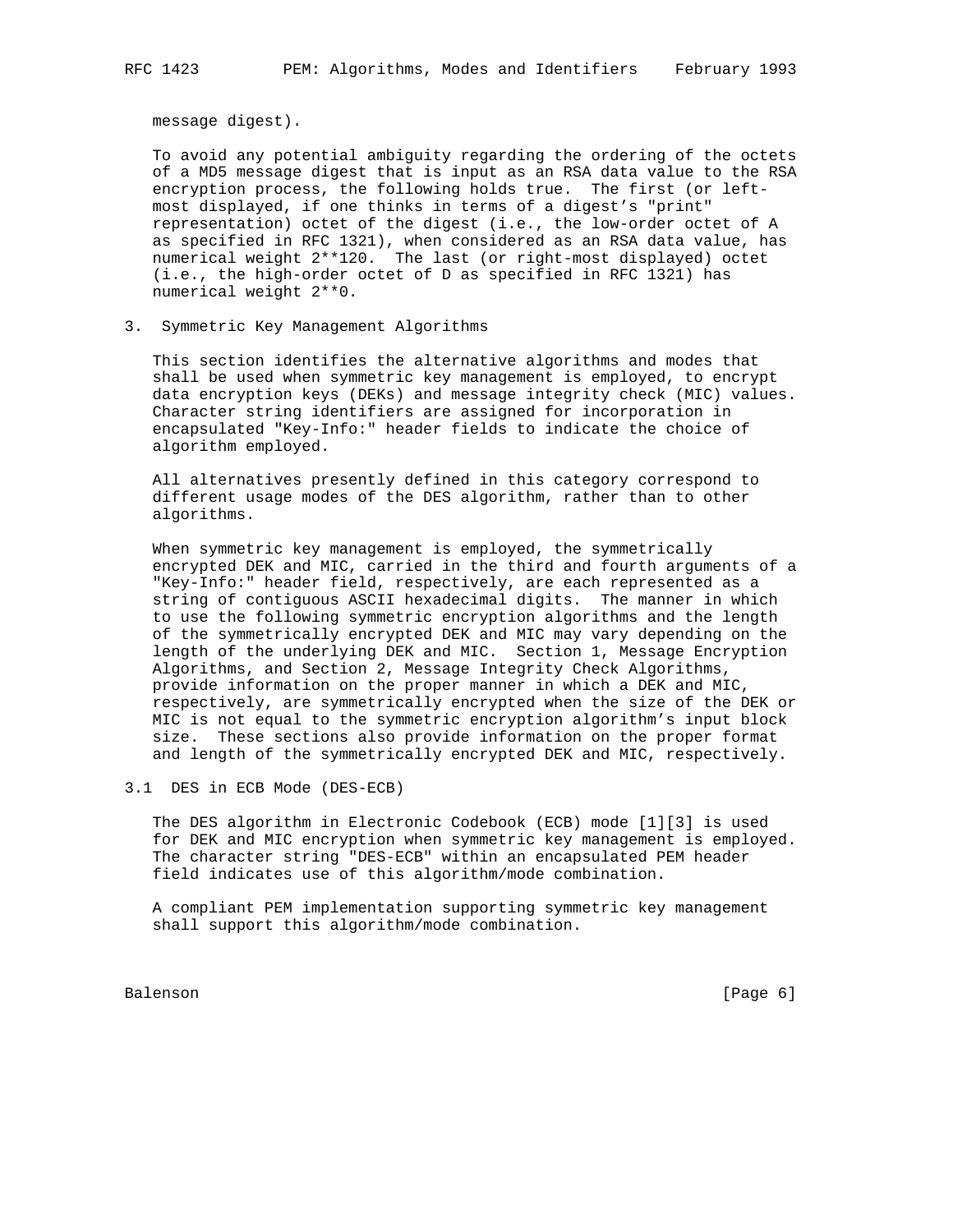message digest).

 To avoid any potential ambiguity regarding the ordering of the octets of a MD5 message digest that is input as an RSA data value to the RSA encryption process, the following holds true. The first (or left most displayed, if one thinks in terms of a digest's "print" representation) octet of the digest (i.e., the low-order octet of A as specified in RFC 1321), when considered as an RSA data value, has numerical weight 2\*\*120. The last (or right-most displayed) octet (i.e., the high-order octet of D as specified in RFC 1321) has numerical weight 2\*\*0.

3. Symmetric Key Management Algorithms

 This section identifies the alternative algorithms and modes that shall be used when symmetric key management is employed, to encrypt data encryption keys (DEKs) and message integrity check (MIC) values. Character string identifiers are assigned for incorporation in encapsulated "Key-Info:" header fields to indicate the choice of algorithm employed.

 All alternatives presently defined in this category correspond to different usage modes of the DES algorithm, rather than to other algorithms.

 When symmetric key management is employed, the symmetrically encrypted DEK and MIC, carried in the third and fourth arguments of a "Key-Info:" header field, respectively, are each represented as a string of contiguous ASCII hexadecimal digits. The manner in which to use the following symmetric encryption algorithms and the length of the symmetrically encrypted DEK and MIC may vary depending on the length of the underlying DEK and MIC. Section 1, Message Encryption Algorithms, and Section 2, Message Integrity Check Algorithms, provide information on the proper manner in which a DEK and MIC, respectively, are symmetrically encrypted when the size of the DEK or MIC is not equal to the symmetric encryption algorithm's input block size. These sections also provide information on the proper format and length of the symmetrically encrypted DEK and MIC, respectively.

3.1 DES in ECB Mode (DES-ECB)

 The DES algorithm in Electronic Codebook (ECB) mode [1][3] is used for DEK and MIC encryption when symmetric key management is employed. The character string "DES-ECB" within an encapsulated PEM header field indicates use of this algorithm/mode combination.

 A compliant PEM implementation supporting symmetric key management shall support this algorithm/mode combination.

Balenson [Page 6]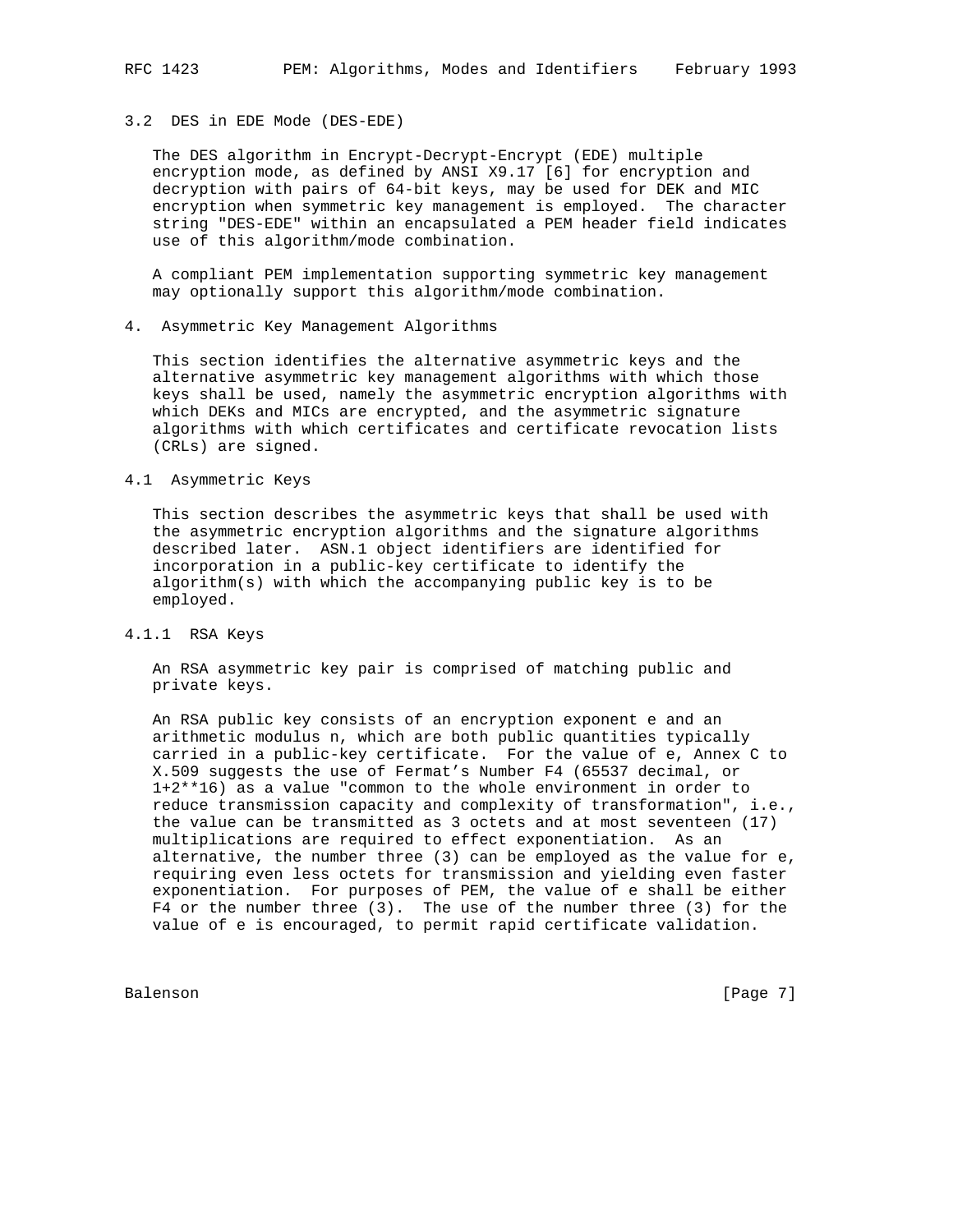# 3.2 DES in EDE Mode (DES-EDE)

 The DES algorithm in Encrypt-Decrypt-Encrypt (EDE) multiple encryption mode, as defined by ANSI X9.17 [6] for encryption and decryption with pairs of 64-bit keys, may be used for DEK and MIC encryption when symmetric key management is employed. The character string "DES-EDE" within an encapsulated a PEM header field indicates use of this algorithm/mode combination.

 A compliant PEM implementation supporting symmetric key management may optionally support this algorithm/mode combination.

4. Asymmetric Key Management Algorithms

 This section identifies the alternative asymmetric keys and the alternative asymmetric key management algorithms with which those keys shall be used, namely the asymmetric encryption algorithms with which DEKs and MICs are encrypted, and the asymmetric signature algorithms with which certificates and certificate revocation lists (CRLs) are signed.

# 4.1 Asymmetric Keys

 This section describes the asymmetric keys that shall be used with the asymmetric encryption algorithms and the signature algorithms described later. ASN.1 object identifiers are identified for incorporation in a public-key certificate to identify the algorithm(s) with which the accompanying public key is to be employed.

## 4.1.1 RSA Keys

 An RSA asymmetric key pair is comprised of matching public and private keys.

 An RSA public key consists of an encryption exponent e and an arithmetic modulus n, which are both public quantities typically carried in a public-key certificate. For the value of e, Annex C to X.509 suggests the use of Fermat's Number F4 (65537 decimal, or 1+2\*\*16) as a value "common to the whole environment in order to reduce transmission capacity and complexity of transformation", i.e., the value can be transmitted as 3 octets and at most seventeen (17) multiplications are required to effect exponentiation. As an alternative, the number three (3) can be employed as the value for e, requiring even less octets for transmission and yielding even faster exponentiation. For purposes of PEM, the value of e shall be either F4 or the number three (3). The use of the number three (3) for the value of e is encouraged, to permit rapid certificate validation.

Balenson [Page 7]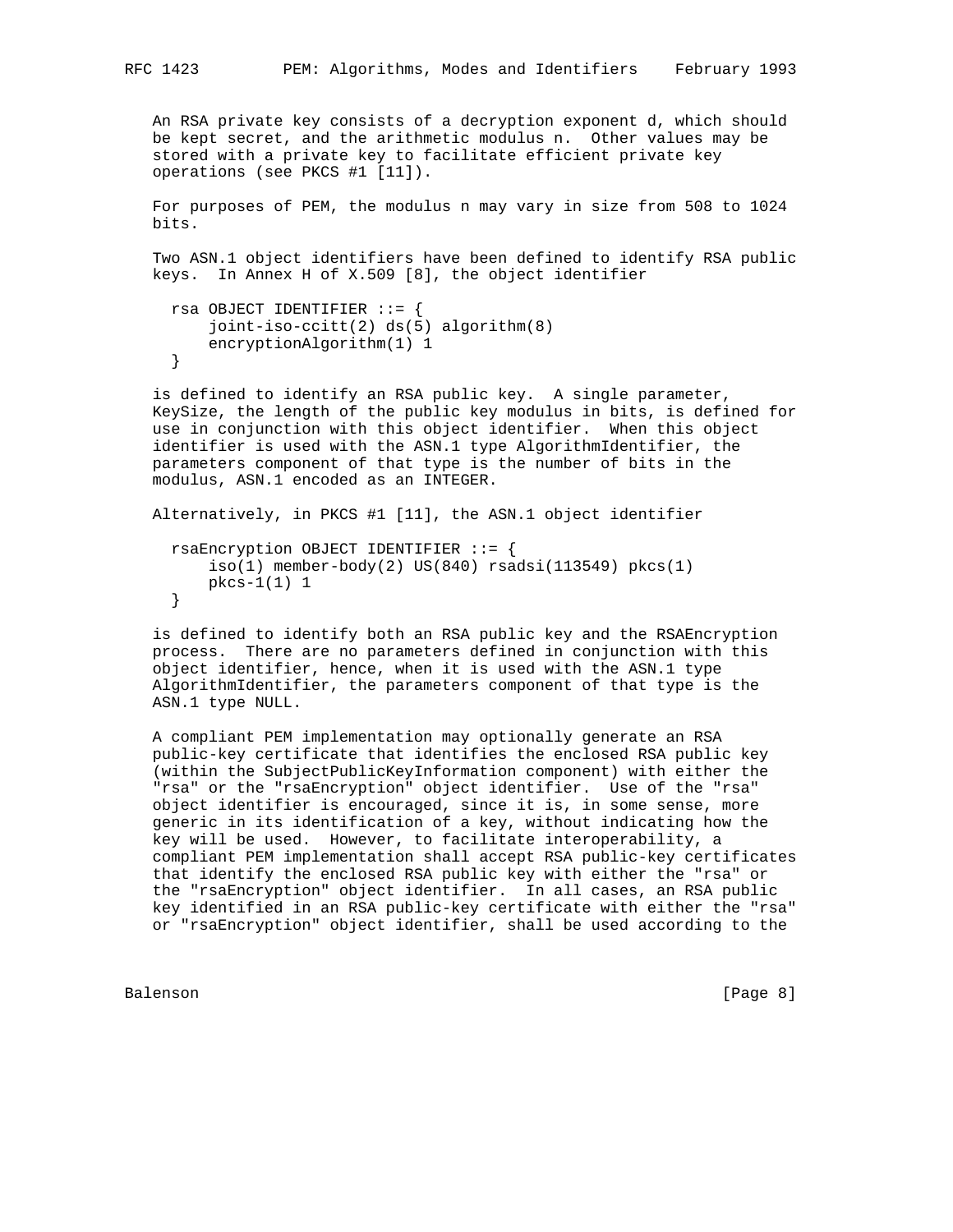An RSA private key consists of a decryption exponent d, which should be kept secret, and the arithmetic modulus n. Other values may be stored with a private key to facilitate efficient private key operations (see PKCS #1 [11]).

 For purposes of PEM, the modulus n may vary in size from 508 to 1024 bits.

 Two ASN.1 object identifiers have been defined to identify RSA public keys. In Annex H of X.509 [8], the object identifier

```
 rsa OBJECT IDENTIFIER ::= {
     joint-iso-ccitt(2) ds(5) algorithm(8)
     encryptionAlgorithm(1) 1
 }
```
 is defined to identify an RSA public key. A single parameter, KeySize, the length of the public key modulus in bits, is defined for use in conjunction with this object identifier. When this object identifier is used with the ASN.1 type AlgorithmIdentifier, the parameters component of that type is the number of bits in the modulus, ASN.1 encoded as an INTEGER.

 Alternatively, in PKCS #1 [11], the ASN.1 object identifier rsaEncryption OBJECT IDENTIFIER ::= {  $iso(1)$  member-body(2) US(840) rsadsi(113549) pkcs(1)

```
 pkcs-1(1) 1
 }
```
 is defined to identify both an RSA public key and the RSAEncryption process. There are no parameters defined in conjunction with this object identifier, hence, when it is used with the ASN.1 type AlgorithmIdentifier, the parameters component of that type is the ASN.1 type NULL.

 A compliant PEM implementation may optionally generate an RSA public-key certificate that identifies the enclosed RSA public key (within the SubjectPublicKeyInformation component) with either the "rsa" or the "rsaEncryption" object identifier. Use of the "rsa" object identifier is encouraged, since it is, in some sense, more generic in its identification of a key, without indicating how the key will be used. However, to facilitate interoperability, a compliant PEM implementation shall accept RSA public-key certificates that identify the enclosed RSA public key with either the "rsa" or the "rsaEncryption" object identifier. In all cases, an RSA public key identified in an RSA public-key certificate with either the "rsa" or "rsaEncryption" object identifier, shall be used according to the

Balenson [Page 8]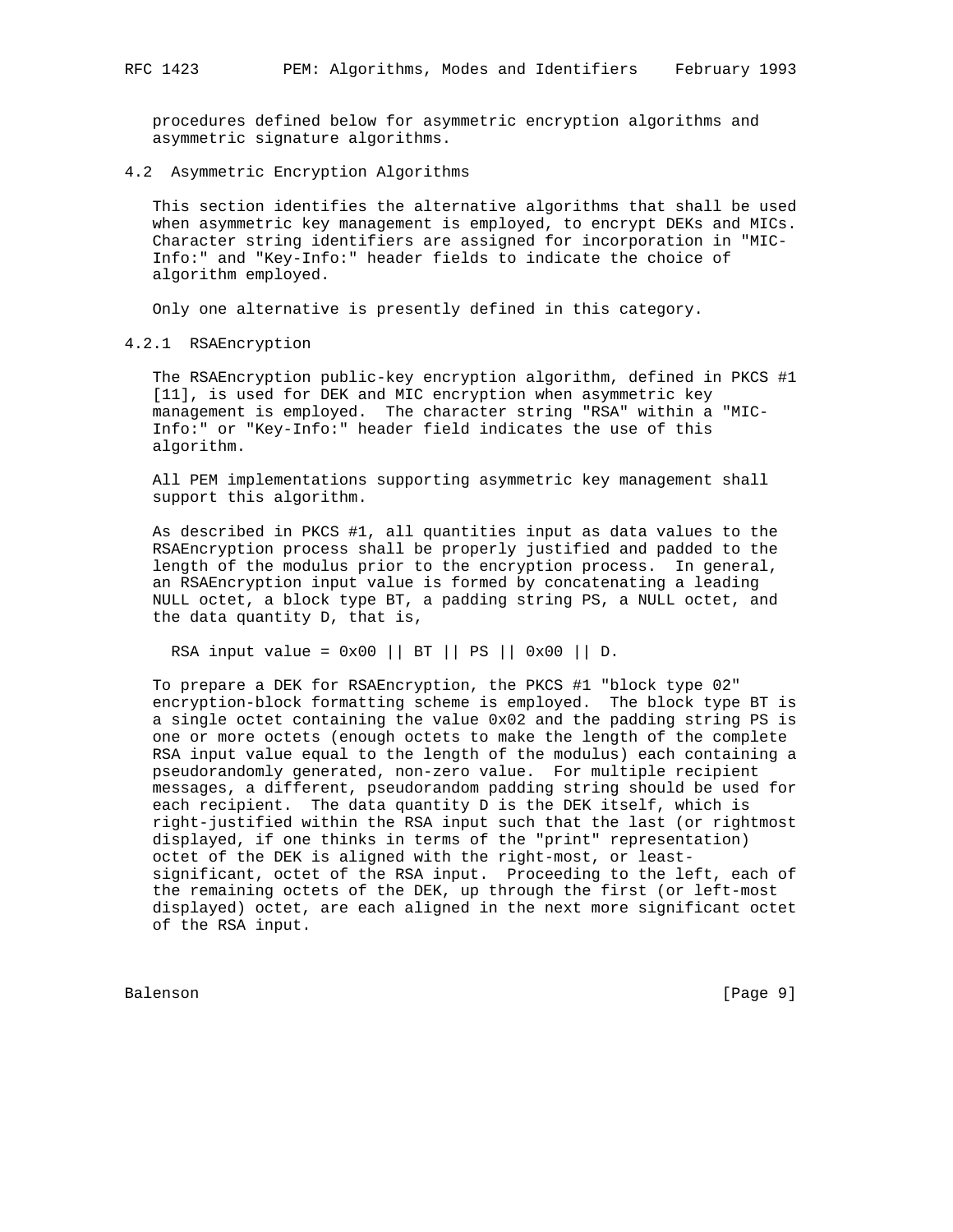procedures defined below for asymmetric encryption algorithms and asymmetric signature algorithms.

4.2 Asymmetric Encryption Algorithms

 This section identifies the alternative algorithms that shall be used when asymmetric key management is employed, to encrypt DEKs and MICs. Character string identifiers are assigned for incorporation in "MIC- Info:" and "Key-Info:" header fields to indicate the choice of algorithm employed.

Only one alternative is presently defined in this category.

4.2.1 RSAEncryption

 The RSAEncryption public-key encryption algorithm, defined in PKCS #1 [11], is used for DEK and MIC encryption when asymmetric key management is employed. The character string "RSA" within a "MIC- Info:" or "Key-Info:" header field indicates the use of this algorithm.

 All PEM implementations supporting asymmetric key management shall support this algorithm.

 As described in PKCS #1, all quantities input as data values to the RSAEncryption process shall be properly justified and padded to the length of the modulus prior to the encryption process. In general, an RSAEncryption input value is formed by concatenating a leading NULL octet, a block type BT, a padding string PS, a NULL octet, and the data quantity D, that is,

RSA input value =  $0x00$  || BT || PS ||  $0x00$  || D.

 To prepare a DEK for RSAEncryption, the PKCS #1 "block type 02" encryption-block formatting scheme is employed. The block type BT is a single octet containing the value 0x02 and the padding string PS is one or more octets (enough octets to make the length of the complete RSA input value equal to the length of the modulus) each containing a pseudorandomly generated, non-zero value. For multiple recipient messages, a different, pseudorandom padding string should be used for each recipient. The data quantity D is the DEK itself, which is right-justified within the RSA input such that the last (or rightmost displayed, if one thinks in terms of the "print" representation) octet of the DEK is aligned with the right-most, or least significant, octet of the RSA input. Proceeding to the left, each of the remaining octets of the DEK, up through the first (or left-most displayed) octet, are each aligned in the next more significant octet of the RSA input.

Balenson [Page 9]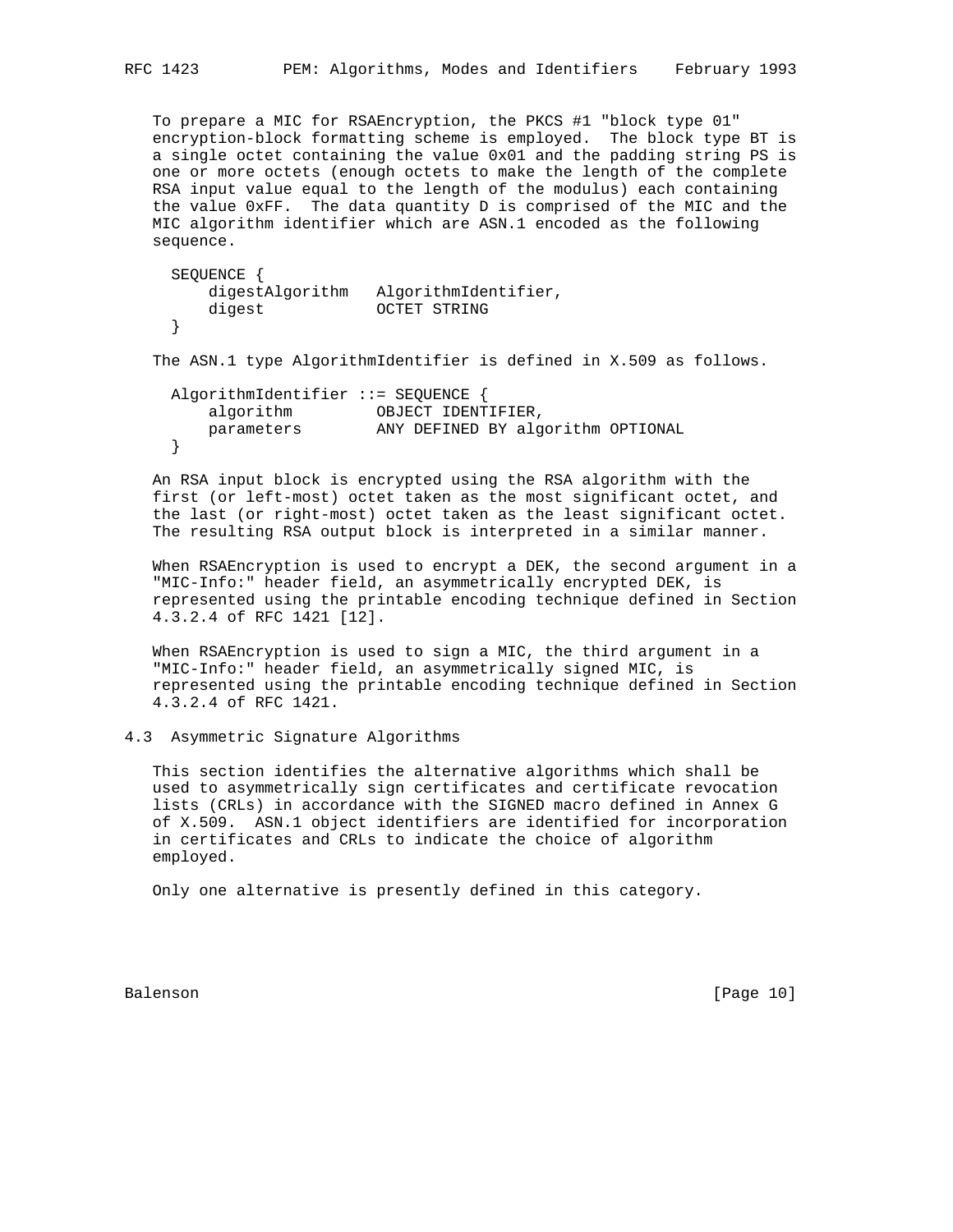To prepare a MIC for RSAEncryption, the PKCS #1 "block type 01" encryption-block formatting scheme is employed. The block type BT is a single octet containing the value 0x01 and the padding string PS is one or more octets (enough octets to make the length of the complete RSA input value equal to the length of the modulus) each containing the value 0xFF. The data quantity D is comprised of the MIC and the MIC algorithm identifier which are ASN.1 encoded as the following sequence.

```
 SEQUENCE {
        digestAlgorithm AlgorithmIdentifier,
        digest OCTET STRING
     }
   The ASN.1 type AlgorithmIdentifier is defined in X.509 as follows.
     AlgorithmIdentifier ::= SEQUENCE {
 algorithm OBJECT IDENTIFIER,
 parameters ANY DEFINED BY algorithm OPTIONAL
     }
```
 An RSA input block is encrypted using the RSA algorithm with the first (or left-most) octet taken as the most significant octet, and the last (or right-most) octet taken as the least significant octet. The resulting RSA output block is interpreted in a similar manner.

 When RSAEncryption is used to encrypt a DEK, the second argument in a "MIC-Info:" header field, an asymmetrically encrypted DEK, is represented using the printable encoding technique defined in Section 4.3.2.4 of RFC 1421 [12].

 When RSAEncryption is used to sign a MIC, the third argument in a "MIC-Info:" header field, an asymmetrically signed MIC, is represented using the printable encoding technique defined in Section 4.3.2.4 of RFC 1421.

```
4.3 Asymmetric Signature Algorithms
```
 This section identifies the alternative algorithms which shall be used to asymmetrically sign certificates and certificate revocation lists (CRLs) in accordance with the SIGNED macro defined in Annex G of X.509. ASN.1 object identifiers are identified for incorporation in certificates and CRLs to indicate the choice of algorithm employed.

Only one alternative is presently defined in this category.

Balenson [Page 10]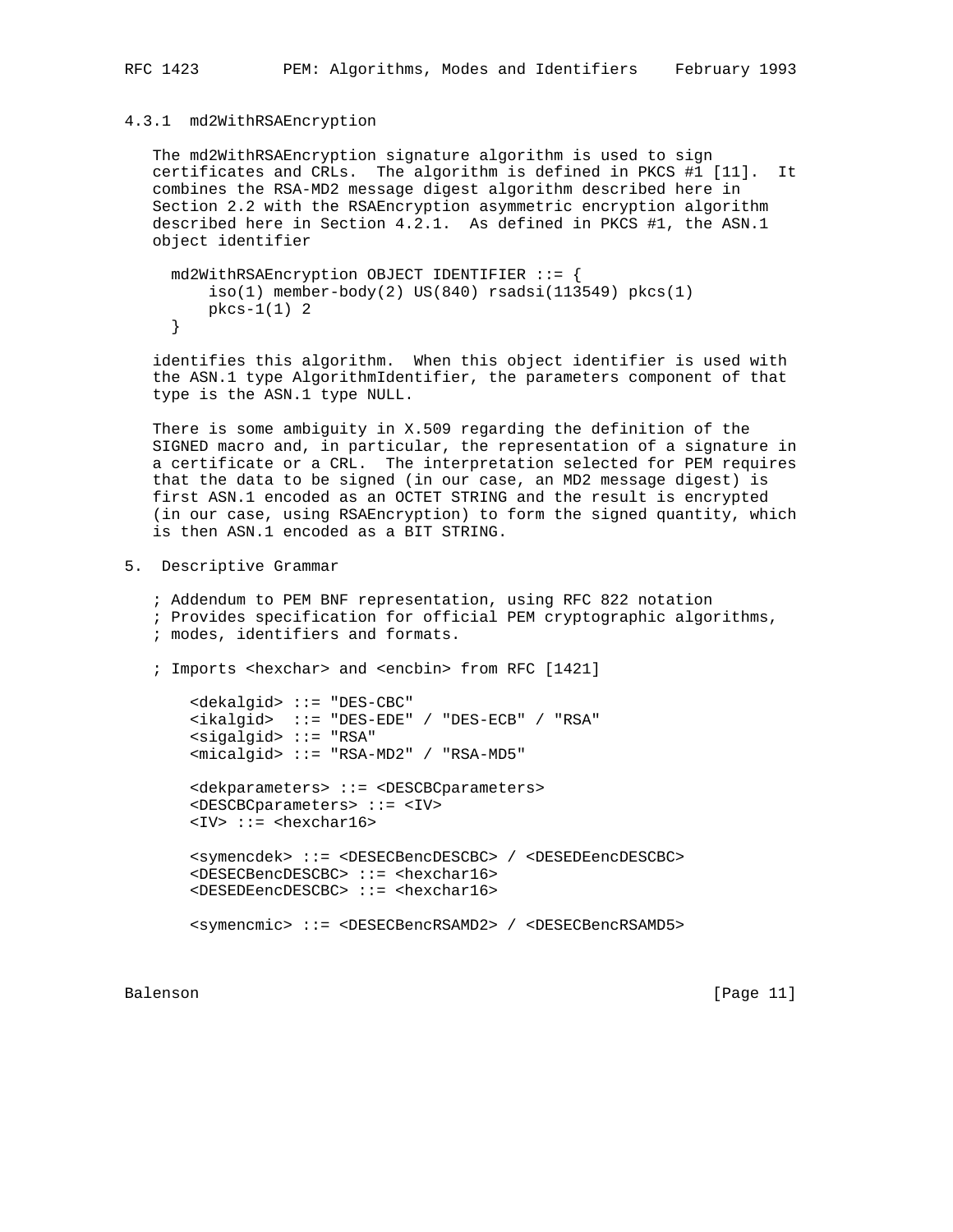#### 4.3.1 md2WithRSAEncryption

 The md2WithRSAEncryption signature algorithm is used to sign certificates and CRLs. The algorithm is defined in PKCS #1 [11]. It combines the RSA-MD2 message digest algorithm described here in Section 2.2 with the RSAEncryption asymmetric encryption algorithm described here in Section 4.2.1. As defined in PKCS #1, the ASN.1 object identifier

```
 md2WithRSAEncryption OBJECT IDENTIFIER ::= {
     iso(1) member-body(2) US(840) rsadsi(113549) pkcs(1)
     pkcs-1(1) 2
 }
```
 identifies this algorithm. When this object identifier is used with the ASN.1 type AlgorithmIdentifier, the parameters component of that type is the ASN.1 type NULL.

 There is some ambiguity in X.509 regarding the definition of the SIGNED macro and, in particular, the representation of a signature in a certificate or a CRL. The interpretation selected for PEM requires that the data to be signed (in our case, an MD2 message digest) is first ASN.1 encoded as an OCTET STRING and the result is encrypted (in our case, using RSAEncryption) to form the signed quantity, which is then ASN.1 encoded as a BIT STRING.

5. Descriptive Grammar

 ; Addendum to PEM BNF representation, using RFC 822 notation ; Provides specification for official PEM cryptographic algorithms, ; modes, identifiers and formats.

; Imports <hexchar> and <encbin> from RFC [1421]

 <dekalgid> ::= "DES-CBC" <ikalgid> ::= "DES-EDE" / "DES-ECB" / "RSA" <sigalgid> ::= "RSA" <micalgid> ::= "RSA-MD2" / "RSA-MD5"

 <dekparameters> ::= <DESCBCparameters> <DESCBCparameters> ::= <IV>  $\langle$ IV> ::=  $\langle$ hexchar16>

 <symencdek> ::= <DESECBencDESCBC> / <DESEDEencDESCBC> <DESECBencDESCBC> ::= <hexchar16> <DESEDEencDESCBC> ::= <hexchar16>

<symencmic> ::= <DESECBencRSAMD2> / <DESECBencRSAMD5>

Balenson [Page 11]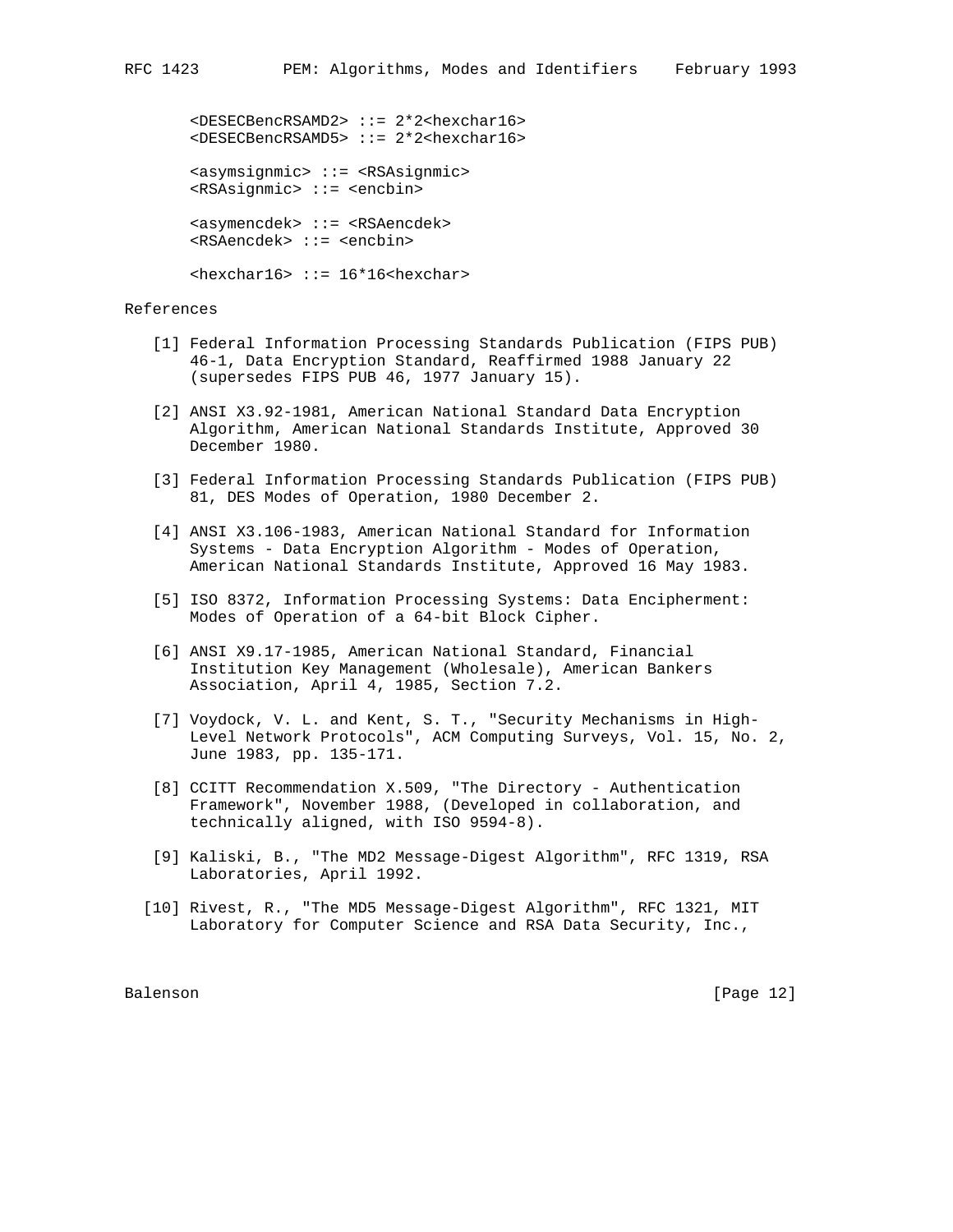```
 <DESECBencRSAMD2> ::= 2*2<hexchar16>
 <DESECBencRSAMD5> ::= 2*2<hexchar16>
 <asymsignmic> ::= <RSAsignmic>
 <RSAsignmic> ::= <encbin>
 <asymencdek> ::= <RSAencdek>
 <RSAencdek> ::= <encbin>
<sub>hexchar16</sub> ::= 16*16<hexchar></sub>
```
# References

- [1] Federal Information Processing Standards Publication (FIPS PUB) 46-1, Data Encryption Standard, Reaffirmed 1988 January 22 (supersedes FIPS PUB 46, 1977 January 15).
- [2] ANSI X3.92-1981, American National Standard Data Encryption Algorithm, American National Standards Institute, Approved 30 December 1980.
- [3] Federal Information Processing Standards Publication (FIPS PUB) 81, DES Modes of Operation, 1980 December 2.
- [4] ANSI X3.106-1983, American National Standard for Information Systems - Data Encryption Algorithm - Modes of Operation, American National Standards Institute, Approved 16 May 1983.
- [5] ISO 8372, Information Processing Systems: Data Encipherment: Modes of Operation of a 64-bit Block Cipher.
- [6] ANSI X9.17-1985, American National Standard, Financial Institution Key Management (Wholesale), American Bankers Association, April 4, 1985, Section 7.2.
- [7] Voydock, V. L. and Kent, S. T., "Security Mechanisms in High- Level Network Protocols", ACM Computing Surveys, Vol. 15, No. 2, June 1983, pp. 135-171.
- [8] CCITT Recommendation X.509, "The Directory Authentication Framework", November 1988, (Developed in collaboration, and technically aligned, with ISO 9594-8).
- [9] Kaliski, B., "The MD2 Message-Digest Algorithm", RFC 1319, RSA Laboratories, April 1992.
- [10] Rivest, R., "The MD5 Message-Digest Algorithm", RFC 1321, MIT Laboratory for Computer Science and RSA Data Security, Inc.,

Balenson [Page 12]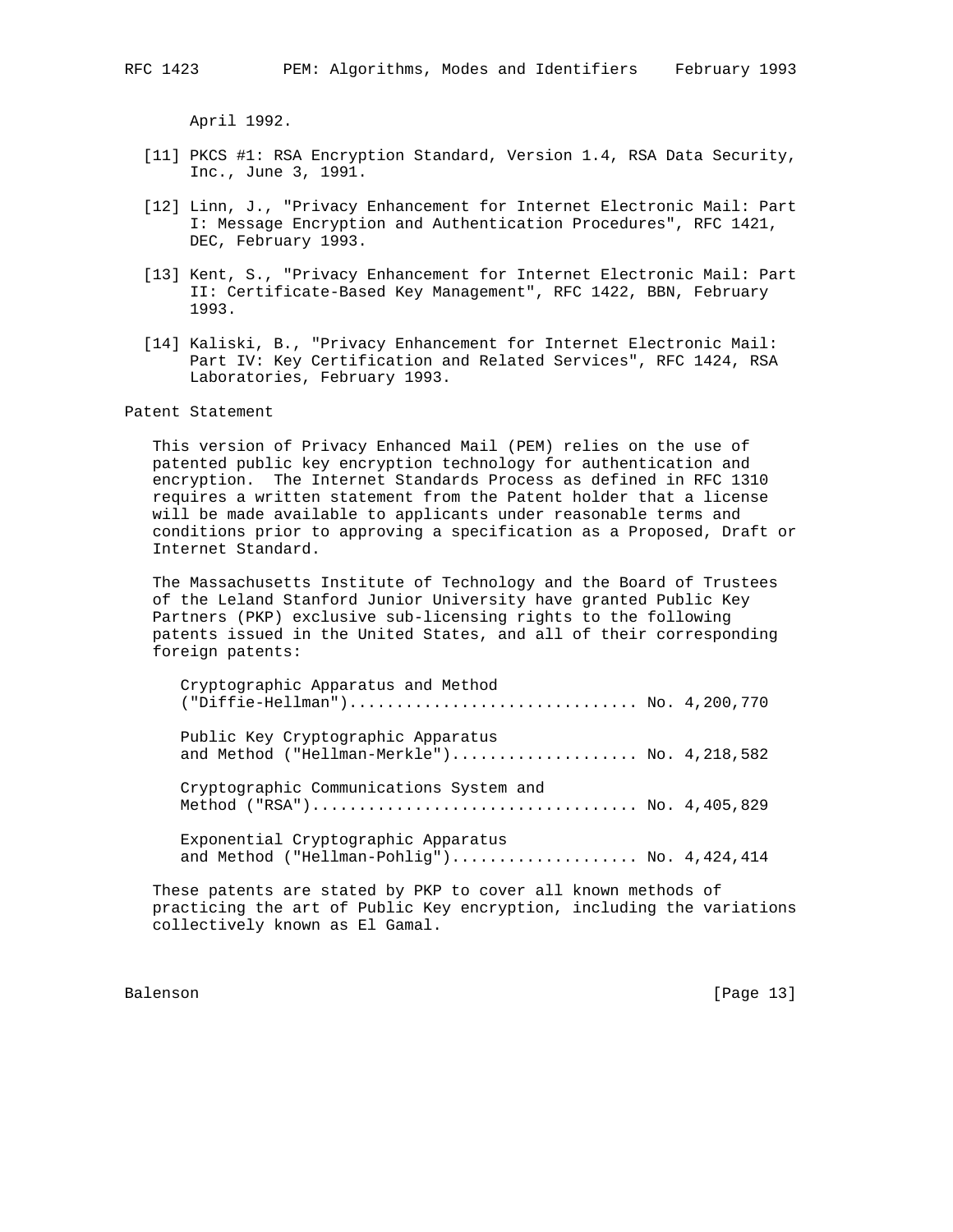April 1992.

- [11] PKCS #1: RSA Encryption Standard, Version 1.4, RSA Data Security, Inc., June 3, 1991.
- [12] Linn, J., "Privacy Enhancement for Internet Electronic Mail: Part I: Message Encryption and Authentication Procedures", RFC 1421, DEC, February 1993.
- [13] Kent, S., "Privacy Enhancement for Internet Electronic Mail: Part II: Certificate-Based Key Management", RFC 1422, BBN, February 1993.
- [14] Kaliski, B., "Privacy Enhancement for Internet Electronic Mail: Part IV: Key Certification and Related Services", RFC 1424, RSA Laboratories, February 1993.

Patent Statement

 This version of Privacy Enhanced Mail (PEM) relies on the use of patented public key encryption technology for authentication and encryption. The Internet Standards Process as defined in RFC 1310 requires a written statement from the Patent holder that a license will be made available to applicants under reasonable terms and conditions prior to approving a specification as a Proposed, Draft or Internet Standard.

 The Massachusetts Institute of Technology and the Board of Trustees of the Leland Stanford Junior University have granted Public Key Partners (PKP) exclusive sub-licensing rights to the following patents issued in the United States, and all of their corresponding foreign patents:

| ("Diffie-Hellman") No. $4,200,770$            |
|-----------------------------------------------|
| and Method ("Hellman-Merkle") No. $4,218,582$ |
| Cryptographic Communications System and       |
| and Method ("Hellman-Pohlig") No. $4,424,414$ |
|                                               |

 These patents are stated by PKP to cover all known methods of practicing the art of Public Key encryption, including the variations collectively known as El Gamal.

Balenson [Page 13]